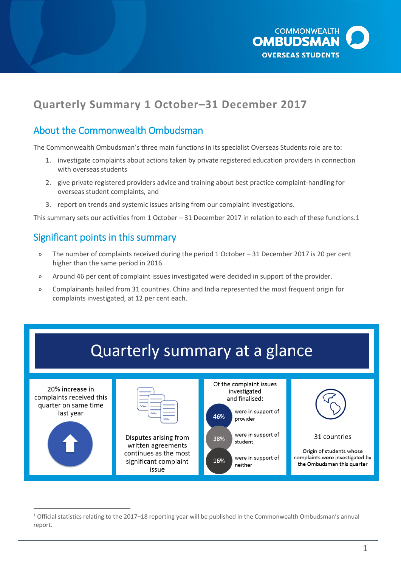

# **Quarterly Summary 1 October–31 December 2017**

## About the Commonwealth Ombudsman

The Commonwealth Ombudsman's three main functions in its specialist Overseas Students role are to:

- 1. investigate complaints about actions taken by private registered education providers in connection with overseas students
- 2. give private registered providers advice and training about best practice complaint-handling for overseas student complaints, and
- 3. report on trends and systemic issues arising from our complaint investigations.

This summary sets our activities from 1 October – 31 December 2017 in relation to each of these functions.1

### Significant points in this summary

 $\overline{a}$ 

- » The number of complaints received during the period 1 October 31 December 2017 is 20 per cent higher than the same period in 2016.
- » Around 46 per cent of complaint issues investigated were decided in support of the provider.
- » Complainants hailed from 31 countries. China and India represented the most frequent origin for complaints investigated, at 12 per cent each.



<sup>&</sup>lt;sup>1</sup> Official statistics relating to the 2017–18 reporting year will be published in the Commonwealth Ombudsman's annual report.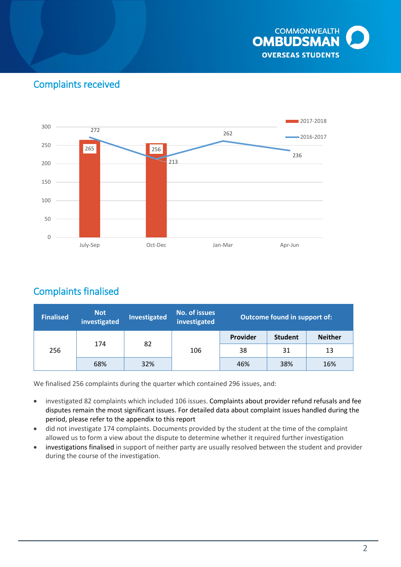

## Complaints received



## Complaints finalised

| <b>Finalised</b> | Not<br>investigated | <b>Investigated</b> | <b>No. of issues</b><br>investigated | Outcome found in support of: |                |                |
|------------------|---------------------|---------------------|--------------------------------------|------------------------------|----------------|----------------|
| 256              | 174                 |                     | 106                                  | Provider                     | <b>Student</b> | <b>Neither</b> |
|                  |                     | 82                  |                                      | 38                           | 31             | 13             |
|                  | 68%                 | 32%                 |                                      | 46%                          | 38%            | 16%            |

We finalised 256 complaints during the quarter which contained 296 issues, and:

- investigated 82 complaints which included 106 issues. Complaints about provider refund refusals and fee disputes remain the most significant issues. For detailed data about complaint issues handled during the period, please refer to [the appendix to this report](#page-8-0)
- did not investigate 174 complaints. Documents provided by the student at the time of the complaint allowed us to form a view about the dispute to determine whether it required further investigation
- investigations finalised in support of neither party are usually resolved between the student and provider during the course of the investigation.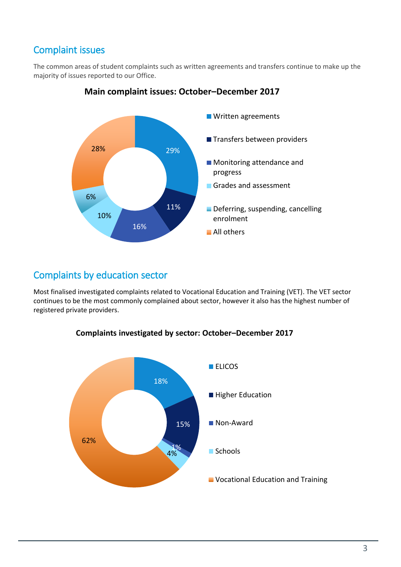## Complaint issues

The common areas of student complaints such as written agreements and transfers continue to make up the majority of issues reported to our Office.



### **Main complaint issues: October–December 2017**

## Complaints by education sector

Most finalised investigated complaints related to Vocational Education and Training (VET). The VET sector continues to be the most commonly complained about sector, however it also has the highest number of registered private providers.



#### **Complaints investigated by sector: October–December 2017**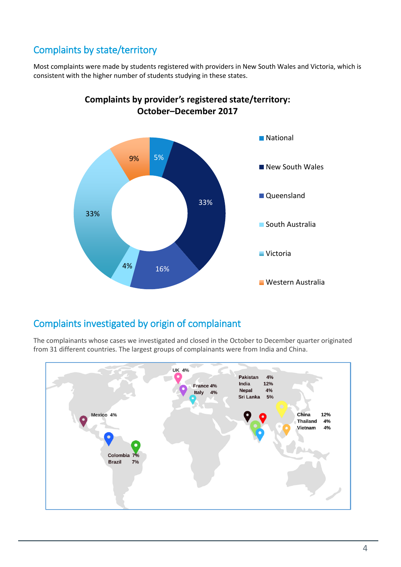# Complaints by state/territory

Most complaints were made by students registered with providers in New South Wales and Victoria, which is consistent with the higher number of students studying in these states.



### **Complaints by provider's registered state/territory: October–December 2017**

## Complaints investigated by origin of complainant

The complainants whose cases we investigated and closed in the October to December quarter originated from 31 different countries. The largest groups of complainants were from India and China.

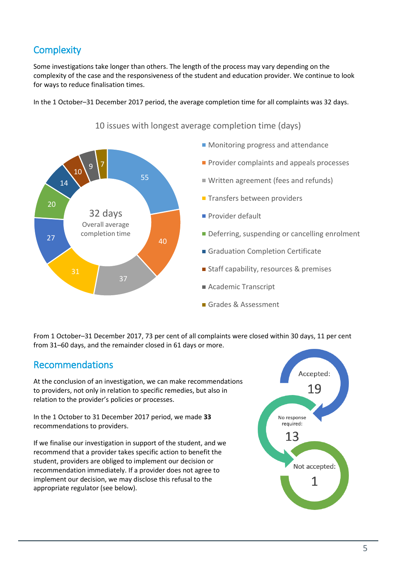# **Complexity**

Some investigations take longer than others. The length of the process may vary depending on the complexity of the case and the responsiveness of the student and education provider. We continue to look for ways to reduce finalisation times.

In the 1 October–31 December 2017 period, the average completion time for all complaints was 32 days.



10 issues with longest average completion time (days)

From 1 October–31 December 2017, 73 per cent of all complaints were closed within 30 days, 11 per cent from 31–60 days, and the remainder closed in 61 days or more.

## Recommendations

At the conclusion of an investigation, we can make recommendations to providers, not only in relation to specific remedies, but also in relation to the provider's policies or processes.

In the 1 October to 31 December 2017 period, we made **33** recommendations to providers.

If we finalise our investigation in support of the student, and we recommend that a provider takes specific action to benefit the student, providers are obliged to implement our decision or recommendation immediately. If a provider does not agree to implement our decision, we may disclose this refusal to the appropriate regulator (see below).

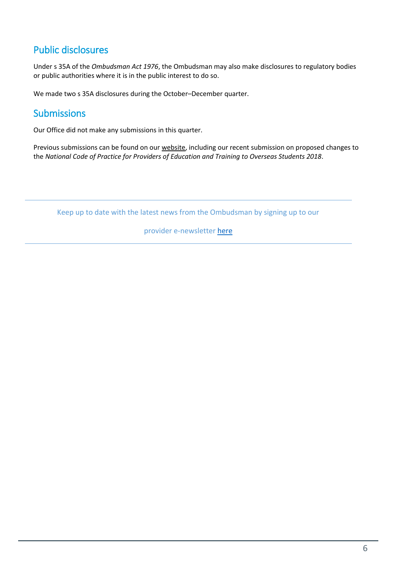# Public disclosures

Under s 35A of the *Ombudsman Act 1976*, the Ombudsman may also make disclosures to regulatory bodies or public authorities where it is in the public interest to do so.

We made two s 35A disclosures during the October–December quarter.

## **Submissions**

Our Office did not make any submissions in this quarter.

Previous submissions can be found on our [website,](http://www.ombudsman.gov.au/about/overseas-students/oso-publications#submissions) including our recent submission on proposed changes to the *National Code of Practice for Providers of Education and Training to Overseas Students 2018*.

Keep up to date with the latest news from the Ombudsman by signing up to our

provider e-newsletter [here](http://www.ombudsman.gov.au/news-and-media/e-bulletins/overseas-student-provider-e-news/subscribe-to-the-overseas-student-ombudsman-provider-e-newsletter)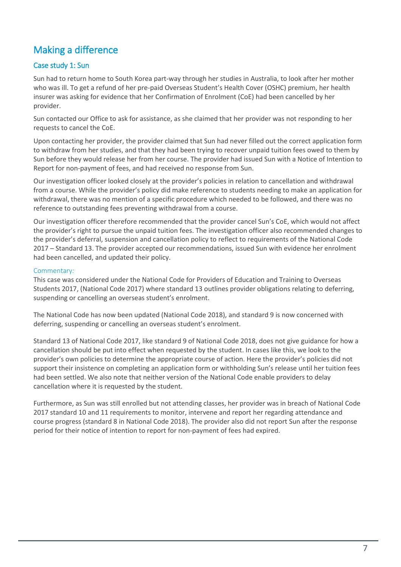## Making a difference

#### Case study 1: Sun

Sun had to return home to South Korea part-way through her studies in Australia, to look after her mother who was ill. To get a refund of her pre-paid Overseas Student's Health Cover (OSHC) premium, her health insurer was asking for evidence that her Confirmation of Enrolment (CoE) had been cancelled by her provider.

Sun contacted our Office to ask for assistance, as she claimed that her provider was not responding to her requests to cancel the CoE.

Upon contacting her provider, the provider claimed that Sun had never filled out the correct application form to withdraw from her studies, and that they had been trying to recover unpaid tuition fees owed to them by Sun before they would release her from her course. The provider had issued Sun with a Notice of Intention to Report for non-payment of fees, and had received no response from Sun.

Our investigation officer looked closely at the provider's policies in relation to cancellation and withdrawal from a course. While the provider's policy did make reference to students needing to make an application for withdrawal, there was no mention of a specific procedure which needed to be followed, and there was no reference to outstanding fees preventing withdrawal from a course.

Our investigation officer therefore recommended that the provider cancel Sun's CoE, which would not affect the provider's right to pursue the unpaid tuition fees. The investigation officer also recommended changes to the provider's deferral, suspension and cancellation policy to reflect to requirements of the National Code 2017 – Standard 13. The provider accepted our recommendations, issued Sun with evidence her enrolment had been cancelled, and updated their policy.

#### Commentary*:*

This case was considered under the National Code for Providers of Education and Training to Overseas Students 2017, (National Code 2017) where standard 13 outlines provider obligations relating to deferring, suspending or cancelling an overseas student's enrolment.

The National Code has now been updated (National Code 2018), and standard 9 is now concerned with deferring, suspending or cancelling an overseas student's enrolment.

Standard 13 of National Code 2017, like standard 9 of National Code 2018, does not give guidance for how a cancellation should be put into effect when requested by the student. In cases like this, we look to the provider's own policies to determine the appropriate course of action. Here the provider's policies did not support their insistence on completing an application form or withholding Sun's release until her tuition fees had been settled. We also note that neither version of the National Code enable providers to delay cancellation where it is requested by the student.

Furthermore, as Sun was still enrolled but not attending classes, her provider was in breach of National Code 2017 standard 10 and 11 requirements to monitor, intervene and report her regarding attendance and course progress (standard 8 in National Code 2018). The provider also did not report Sun after the response period for their notice of intention to report for non-payment of fees had expired.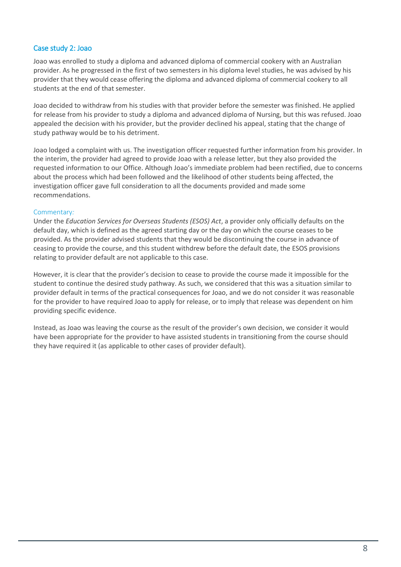#### Case study 2: Joao

Joao was enrolled to study a diploma and advanced diploma of commercial cookery with an Australian provider. As he progressed in the first of two semesters in his diploma level studies, he was advised by his provider that they would cease offering the diploma and advanced diploma of commercial cookery to all students at the end of that semester.

Joao decided to withdraw from his studies with that provider before the semester was finished. He applied for release from his provider to study a diploma and advanced diploma of Nursing, but this was refused. Joao appealed the decision with his provider, but the provider declined his appeal, stating that the change of study pathway would be to his detriment.

Joao lodged a complaint with us. The investigation officer requested further information from his provider. In the interim, the provider had agreed to provide Joao with a release letter, but they also provided the requested information to our Office. Although Joao's immediate problem had been rectified, due to concerns about the process which had been followed and the likelihood of other students being affected, the investigation officer gave full consideration to all the documents provided and made some recommendations.

#### Commentary*:*

Under the *Education Services for Overseas Students (ESOS) Act*, a provider only officially defaults on the default day, which is defined as the agreed starting day or the day on which the course ceases to be provided. As the provider advised students that they would be discontinuing the course in advance of ceasing to provide the course, and this student withdrew before the default date, the ESOS provisions relating to provider default are not applicable to this case.

However, it is clear that the provider's decision to cease to provide the course made it impossible for the student to continue the desired study pathway. As such, we considered that this was a situation similar to provider default in terms of the practical consequences for Joao, and we do not consider it was reasonable for the provider to have required Joao to apply for release, or to imply that release was dependent on him providing specific evidence.

Instead, as Joao was leaving the course as the result of the provider's own decision, we consider it would have been appropriate for the provider to have assisted students in transitioning from the course should they have required it (as applicable to other cases of provider default).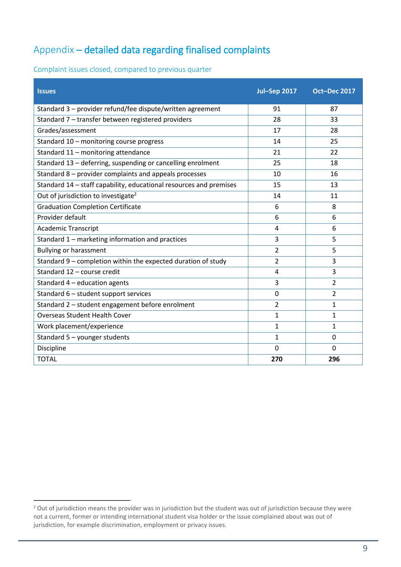# Appendix – detailed data regarding finalised complaints

<span id="page-8-0"></span>Complaint issues closed, compared to previous quarter

| <b>Issues</b>                                                      | <b>Jul-Sep 2017</b> | Oct-Dec 2017   |
|--------------------------------------------------------------------|---------------------|----------------|
| Standard 3 - provider refund/fee dispute/written agreement         | 91                  | 87             |
| Standard 7 - transfer between registered providers                 | 28                  | 33             |
| Grades/assessment                                                  | 17                  | 28             |
| Standard 10 - monitoring course progress                           | 14                  | 25             |
| Standard 11 - monitoring attendance                                | 21                  | 22             |
| Standard 13 - deferring, suspending or cancelling enrolment        | 25                  | 18             |
| Standard 8 - provider complaints and appeals processes             | 10                  | 16             |
| Standard 14 - staff capability, educational resources and premises | 15                  | 13             |
| Out of jurisdiction to investigate <sup>2</sup>                    | 14                  | 11             |
| <b>Graduation Completion Certificate</b>                           | 6                   | 8              |
| Provider default                                                   | 6                   | 6              |
| <b>Academic Transcript</b>                                         | 4                   | 6              |
| Standard 1 - marketing information and practices                   | 3                   | 5              |
| <b>Bullying or harassment</b>                                      | $\overline{2}$      | 5              |
| Standard 9 - completion within the expected duration of study      | $\overline{2}$      | 3              |
| Standard 12 - course credit                                        | 4                   | 3              |
| Standard $4$ – education agents                                    | 3                   | $\overline{2}$ |
| Standard 6 - student support services                              | $\mathbf 0$         | $\overline{2}$ |
| Standard 2 - student engagement before enrolment                   | $\overline{2}$      | $\mathbf{1}$   |
| <b>Overseas Student Health Cover</b>                               | $\mathbf{1}$        | $\mathbf{1}$   |
| Work placement/experience                                          | $\mathbf{1}$        | 1              |
| Standard 5 - younger students                                      | $\mathbf{1}$        | $\Omega$       |
| Discipline                                                         | 0                   | $\mathbf 0$    |
| <b>TOTAL</b>                                                       | 270                 | 296            |

 $\overline{a}$ 

<sup>&</sup>lt;sup>2</sup> Out of jurisdiction means the provider was in jurisdiction but the student was out of jurisdiction because they were not a current, former or intending international student visa holder or the issue complained about was out of jurisdiction, for example discrimination, employment or privacy issues.